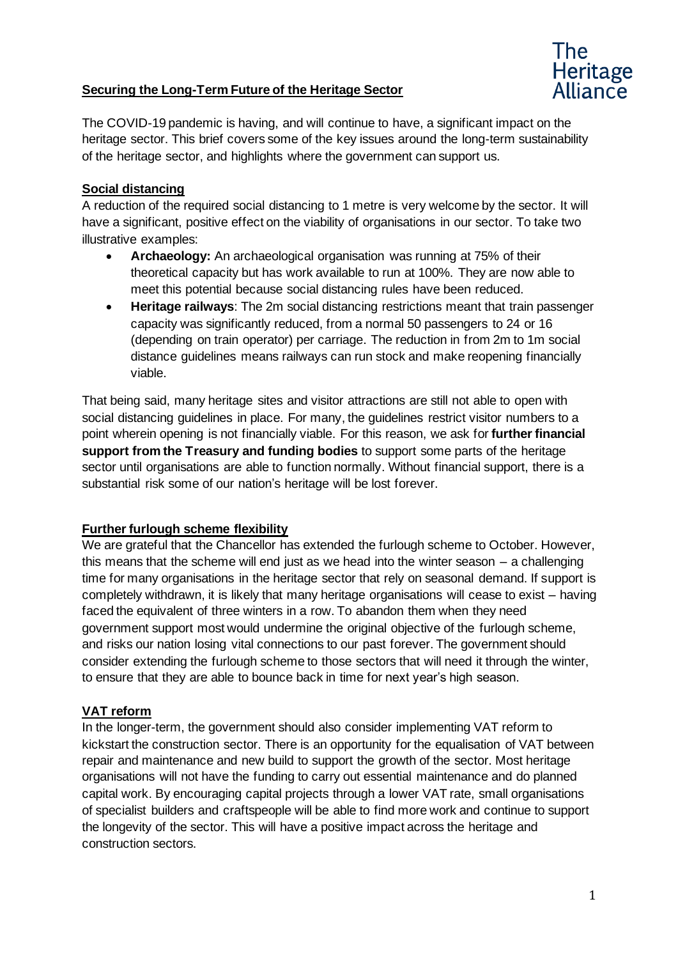# **Securing the Long-Term Future of the Heritage Sector**



The COVID-19 pandemic is having, and will continue to have, a significant impact on the heritage sector. This brief covers some of the key issues around the long-term sustainability of the heritage sector, and highlights where the government can support us.

### **Social distancing**

A reduction of the required social distancing to 1 metre is very welcome by the sector. It will have a significant, positive effect on the viability of organisations in our sector. To take two illustrative examples:

- **Archaeology:** An archaeological organisation was running at 75% of their theoretical capacity but has work available to run at 100%. They are now able to meet this potential because social distancing rules have been reduced.
- **Heritage railways**: The 2m social distancing restrictions meant that train passenger capacity was significantly reduced, from a normal 50 passengers to 24 or 16 (depending on train operator) per carriage. The reduction in from 2m to 1m social distance guidelines means railways can run stock and make reopening financially viable.

That being said, many heritage sites and visitor attractions are still not able to open with social distancing guidelines in place. For many, the guidelines restrict visitor numbers to a point wherein opening is not financially viable. For this reason, we ask for **further financial support from the Treasury and funding bodies** to support some parts of the heritage sector until organisations are able to function normally. Without financial support, there is a substantial risk some of our nation's heritage will be lost forever.

#### **Further furlough scheme flexibility**

We are grateful that the Chancellor has extended the furlough scheme to October. However, this means that the scheme will end just as we head into the winter season – a challenging time for many organisations in the heritage sector that rely on seasonal demand. If support is completely withdrawn, it is likely that many heritage organisations will cease to exist – having faced the equivalent of three winters in a row. To abandon them when they need government support most would undermine the original objective of the furlough scheme, and risks our nation losing vital connections to our past forever. The government should consider extending the furlough scheme to those sectors that will need it through the winter, to ensure that they are able to bounce back in time for next year's high season.

#### **VAT reform**

In the longer-term, the government should also consider implementing VAT reform to kickstart the construction sector. There is an opportunity for the equalisation of VAT between repair and maintenance and new build to support the growth of the sector. Most heritage organisations will not have the funding to carry out essential maintenance and do planned capital work. By encouraging capital projects through a lower VAT rate, small organisations of specialist builders and craftspeople will be able to find more work and continue to support the longevity of the sector. This will have a positive impact across the heritage and construction sectors.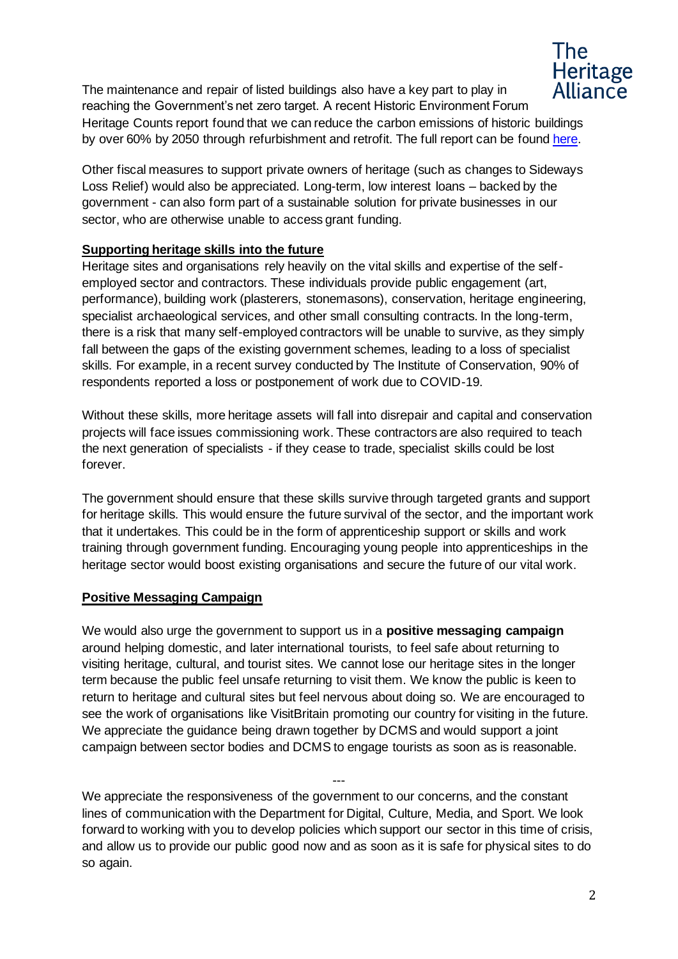

The maintenance and repair of listed buildings also have a key part to play in reaching the Government's net zero target. A recent Historic Environment Forum Heritage Counts report found that we can reduce the carbon emissions of historic buildings by over 60% by 2050 through refurbishment and retrofit. The full report can be foun[d here.](https://historicengland.org.uk/content/heritage-counts/pub/2019/hc2019-re-use-recycle-to-reduce-carbon/)

Other fiscal measures to support private owners of heritage (such as changes to Sideways Loss Relief) would also be appreciated. Long-term, low interest loans – backed by the government - can also form part of a sustainable solution for private businesses in our sector, who are otherwise unable to access grant funding.

# **Supporting heritage skills into the future**

Heritage sites and organisations rely heavily on the vital skills and expertise of the selfemployed sector and contractors. These individuals provide public engagement (art, performance), building work (plasterers, stonemasons), conservation, heritage engineering, specialist archaeological services, and other small consulting contracts. In the long-term, there is a risk that many self-employed contractors will be unable to survive, as they simply fall between the gaps of the existing government schemes, leading to a loss of specialist skills. For example, in a recent survey conducted by The Institute of Conservation, 90% of respondents reported a loss or postponement of work due to COVID-19.

Without these skills, more heritage assets will fall into disrepair and capital and conservation projects will face issues commissioning work. These contractors are also required to teach the next generation of specialists - if they cease to trade, specialist skills could be lost forever.

The government should ensure that these skills survive through targeted grants and support for heritage skills. This would ensure the future survival of the sector, and the important work that it undertakes. This could be in the form of apprenticeship support or skills and work training through government funding. Encouraging young people into apprenticeships in the heritage sector would boost existing organisations and secure the future of our vital work.

### **Positive Messaging Campaign**

We would also urge the government to support us in a **positive messaging campaign** around helping domestic, and later international tourists, to feel safe about returning to visiting heritage, cultural, and tourist sites. We cannot lose our heritage sites in the longer term because the public feel unsafe returning to visit them. We know the public is keen to return to heritage and cultural sites but feel nervous about doing so. We are encouraged to see the work of organisations like VisitBritain promoting our country for visiting in the future. We appreciate the guidance being drawn together by DCMS and would support a joint campaign between sector bodies and DCMS to engage tourists as soon as is reasonable.

--- We appreciate the responsiveness of the government to our concerns, and the constant lines of communication with the Department for Digital, Culture, Media, and Sport. We look forward to working with you to develop policies which support our sector in this time of crisis, and allow us to provide our public good now and as soon as it is safe for physical sites to do so again.